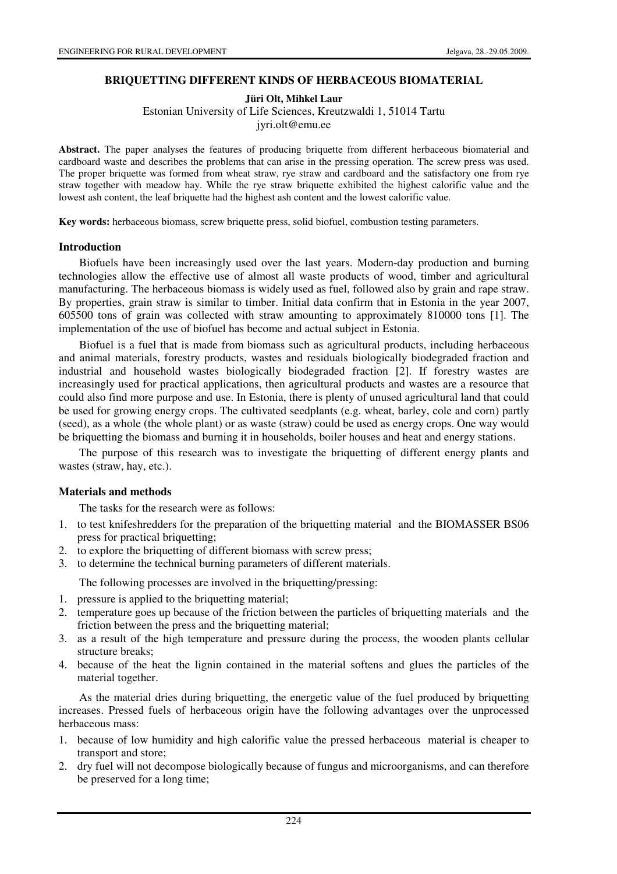### **BRIQUETTING DIFFERENT KINDS OF HERBACEOUS BIOMATERIAL**

**Jüri Olt, Mihkel Laur** 

Estonian University of Life Sciences, Kreutzwaldi 1, 51014 Tartu

jyri.olt@emu.ee

**Abstract.** The paper analyses the features of producing briquette from different herbaceous biomaterial and cardboard waste and describes the problems that can arise in the pressing operation. The screw press was used. The proper briquette was formed from wheat straw, rye straw and cardboard and the satisfactory one from rye straw together with meadow hay. While the rye straw briquette exhibited the highest calorific value and the lowest ash content, the leaf briquette had the highest ash content and the lowest calorific value.

**Key words:** herbaceous biomass, screw briquette press, solid biofuel, combustion testing parameters.

### **Introduction**

Biofuels have been increasingly used over the last years. Modern-day production and burning technologies allow the effective use of almost all waste products of wood, timber and agricultural manufacturing. The herbaceous biomass is widely used as fuel, followed also by grain and rape straw. By properties, grain straw is similar to timber. Initial data confirm that in Estonia in the year 2007, 605500 tons of grain was collected with straw amounting to approximately 810000 tons [1]. The implementation of the use of biofuel has become and actual subject in Estonia.

Biofuel is a fuel that is made from biomass such as agricultural products, including herbaceous and animal materials, forestry products, wastes and residuals biologically biodegraded fraction and industrial and household wastes biologically biodegraded fraction [2]. If forestry wastes are increasingly used for practical applications, then agricultural products and wastes are a resource that could also find more purpose and use. In Estonia, there is plenty of unused agricultural land that could be used for growing energy crops. The cultivated seedplants (e.g. wheat, barley, cole and corn) partly (seed), as a whole (the whole plant) or as waste (straw) could be used as energy crops. One way would be briquetting the biomass and burning it in households, boiler houses and heat and energy stations.

The purpose of this research was to investigate the briquetting of different energy plants and wastes (straw, hay, etc.).

### **Materials and methods**

The tasks for the research were as follows:

- 1. to test knifeshredders for the preparation of the briquetting material and the BIOMASSER BS06 press for practical briquetting;
- 2. to explore the briquetting of different biomass with screw press;
- 3. to determine the technical burning parameters of different materials.

The following processes are involved in the briquetting/pressing:

- 1. pressure is applied to the briquetting material;
- 2. temperature goes up because of the friction between the particles of briquetting materials and the friction between the press and the briquetting material;
- 3. as a result of the high temperature and pressure during the process, the wooden plants cellular structure breaks;
- 4. because of the heat the lignin contained in the material softens and glues the particles of the material together.

As the material dries during briquetting, the energetic value of the fuel produced by briquetting increases. Pressed fuels of herbaceous origin have the following advantages over the unprocessed herbaceous mass:

- 1. because of low humidity and high calorific value the pressed herbaceous material is cheaper to transport and store;
- 2. dry fuel will not decompose biologically because of fungus and microorganisms, and can therefore be preserved for a long time;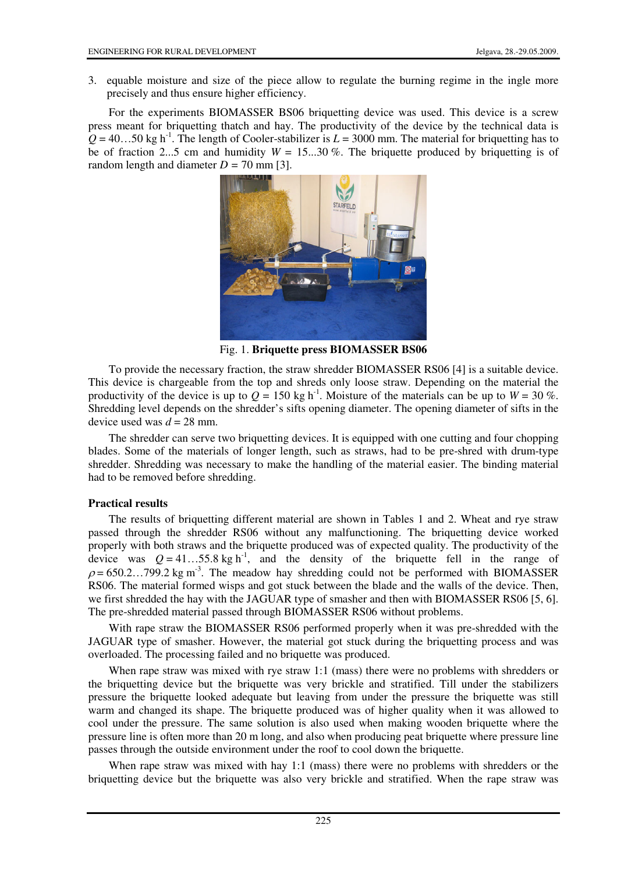3. equable moisture and size of the piece allow to regulate the burning regime in the ingle more precisely and thus ensure higher efficiency.

For the experiments BIOMASSER BS06 briquetting device was used. This device is a screw press meant for briquetting thatch and hay. The productivity of the device by the technical data is  $Q = 40...50$  kg h<sup>-1</sup>. The length of Cooler-stabilizer is  $L = 3000$  mm. The material for briquetting has to be of fraction 2...5 cm and humidity  $W = 15...30\%$ . The briquette produced by briquetting is of random length and diameter  $D = 70$  mm [3].

**STARFEL** 

Fig. 1. **Briquette press BIOMASSER BS06**

To provide the necessary fraction, the straw shredder BIOMASSER RS06 [4] is a suitable device. This device is chargeable from the top and shreds only loose straw. Depending on the material the productivity of the device is up to  $Q = 150 \text{ kg h}^{-1}$ . Moisture of the materials can be up to  $W = 30 \%$ . Shredding level depends on the shredder's sifts opening diameter. The opening diameter of sifts in the device used was  $d = 28$  mm.

The shredder can serve two briquetting devices. It is equipped with one cutting and four chopping blades. Some of the materials of longer length, such as straws, had to be pre-shred with drum-type shredder. Shredding was necessary to make the handling of the material easier. The binding material had to be removed before shredding.

### **Practical results**

The results of briquetting different material are shown in Tables 1 and 2. Wheat and rye straw passed through the shredder RS06 without any malfunctioning. The briquetting device worked properly with both straws and the briquette produced was of expected quality. The productivity of the device was  $Q = 41...55.8$  kg h<sup>-1</sup>, and the density of the briquette fell in the range of  $\rho = 650.2...799.2$  kg m<sup>-3</sup>. The meadow hay shredding could not be performed with BIOMASSER RS06. The material formed wisps and got stuck between the blade and the walls of the device. Then, we first shredded the hay with the JAGUAR type of smasher and then with BIOMASSER RS06 [5, 6]. The pre-shredded material passed through BIOMASSER RS06 without problems.

With rape straw the BIOMASSER RS06 performed properly when it was pre-shredded with the JAGUAR type of smasher. However, the material got stuck during the briquetting process and was overloaded. The processing failed and no briquette was produced.

When rape straw was mixed with rye straw 1:1 (mass) there were no problems with shredders or the briquetting device but the briquette was very brickle and stratified. Till under the stabilizers pressure the briquette looked adequate but leaving from under the pressure the briquette was still warm and changed its shape. The briquette produced was of higher quality when it was allowed to cool under the pressure. The same solution is also used when making wooden briquette where the pressure line is often more than 20 m long, and also when producing peat briquette where pressure line passes through the outside environment under the roof to cool down the briquette.

When rape straw was mixed with hay 1:1 (mass) there were no problems with shredders or the briquetting device but the briquette was also very brickle and stratified. When the rape straw was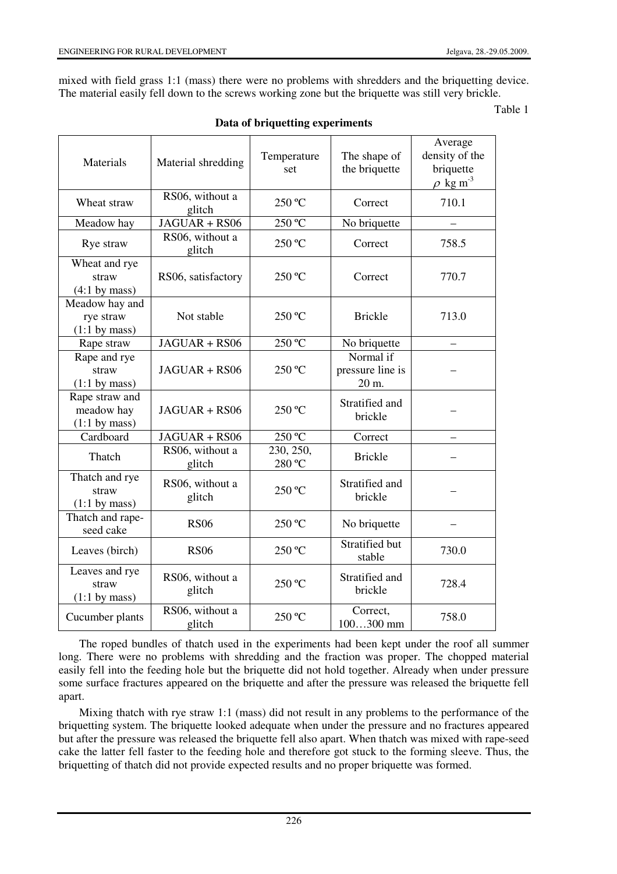mixed with field grass 1:1 (mass) there were no problems with shredders and the briquetting device. The material easily fell down to the screws working zone but the briquette was still very brickle.

Table 1

| Materials                                       | Material shredding        | Temperature<br>set                  | The shape of<br>the briquette          | Average<br>density of the<br>briquette<br>$\rho$ kg m <sup>-3</sup> |  |  |
|-------------------------------------------------|---------------------------|-------------------------------------|----------------------------------------|---------------------------------------------------------------------|--|--|
| Wheat straw                                     | RS06, without a<br>glitch | 250 °C                              | Correct                                | 710.1                                                               |  |  |
| Meadow hay                                      | JAGUAR + RS06             | 250 °C<br>No briquette              |                                        |                                                                     |  |  |
| Rye straw                                       | RS06, without a<br>glitch | 250 °C                              | Correct                                | 758.5                                                               |  |  |
| Wheat and rye<br>straw<br>$(4:1$ by mass)       | RS06, satisfactory        | 250 °C<br>Correct                   |                                        |                                                                     |  |  |
| Meadow hay and<br>rye straw<br>$(1:1$ by mass)  | Not stable                | 250 °C                              | <b>Brickle</b>                         | 713.0                                                               |  |  |
| Rape straw                                      | JAGUAR + RS06             | 250 °C                              | No briquette                           |                                                                     |  |  |
| Rape and rye<br>straw<br>$(1:1$ by mass)        | JAGUAR + RS06             | 250 °C                              | Normal if<br>pressure line is<br>20 m. |                                                                     |  |  |
| Rape straw and<br>meadow hay<br>$(1:1$ by mass) | JAGUAR + RS06             | 250 °C                              | Stratified and<br>brickle              |                                                                     |  |  |
| Cardboard                                       | JAGUAR + RS06             | 250 °C                              | Correct                                |                                                                     |  |  |
| Thatch                                          | RS06, without a<br>glitch | 230, 250,<br>280 °C                 | <b>Brickle</b>                         |                                                                     |  |  |
| Thatch and rye<br>straw<br>$(1:1$ by mass)      | RS06, without a<br>glitch | Stratified and<br>250 °C<br>brickle |                                        |                                                                     |  |  |
| Thatch and rape-<br>seed cake                   | <b>RS06</b>               | 250 °C                              | No briquette                           |                                                                     |  |  |
| Leaves (birch)                                  | <b>RS06</b>               | 250 °C                              | Stratified but<br>stable               | 730.0                                                               |  |  |
| Leaves and rye<br>straw<br>$(1:1$ by mass)      | RS06, without a<br>glitch | 250 °C                              | Stratified and<br>brickle              | 728.4                                                               |  |  |
| Cucumber plants                                 | RS06, without a<br>glitch | 250 °C                              | Correct,<br>$100300$ mm                | 758.0                                                               |  |  |

**Data of briquetting experiments** 

The roped bundles of thatch used in the experiments had been kept under the roof all summer long. There were no problems with shredding and the fraction was proper. The chopped material easily fell into the feeding hole but the briquette did not hold together. Already when under pressure some surface fractures appeared on the briquette and after the pressure was released the briquette fell apart.

Mixing thatch with rye straw 1:1 (mass) did not result in any problems to the performance of the briquetting system. The briquette looked adequate when under the pressure and no fractures appeared but after the pressure was released the briquette fell also apart. When thatch was mixed with rape-seed cake the latter fell faster to the feeding hole and therefore got stuck to the forming sleeve. Thus, the briquetting of thatch did not provide expected results and no proper briquette was formed.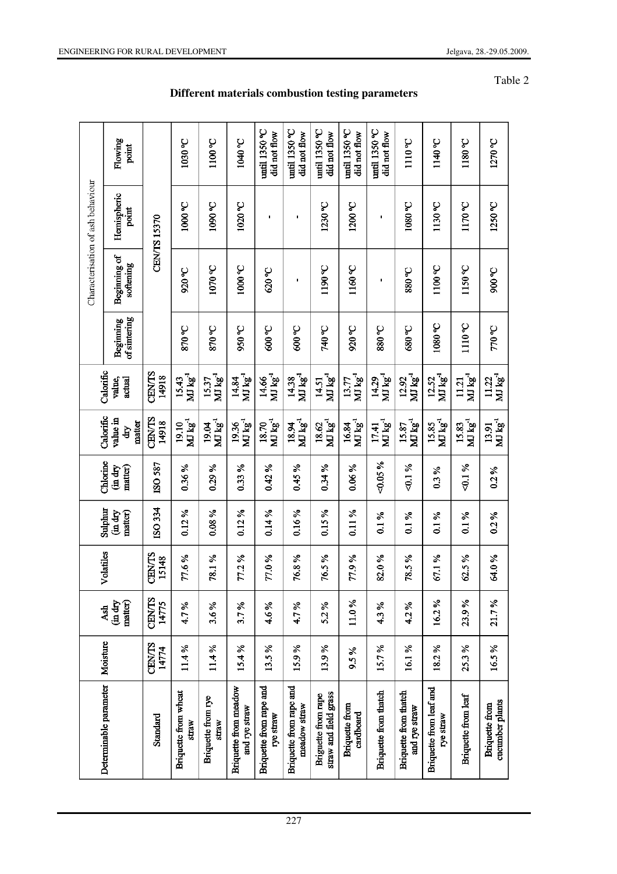|                                   | Flowing<br>point                      |                        | 1030 °C                                | 1100 °C                                                     | 1040 °C                                | until $1350\text{°C}$<br>did not flow           | $mrf$ 1350 °C<br>did not flow           | $mth$ 1350 °C<br>did not flow                | $m$ til 1350 °C<br>did not flow    | until 1350 °C<br>did not flow            | 1110 °C                                   | 1140°C                               | 1180 °C                      | 1270 °C                                                     |
|-----------------------------------|---------------------------------------|------------------------|----------------------------------------|-------------------------------------------------------------|----------------------------------------|-------------------------------------------------|-----------------------------------------|----------------------------------------------|------------------------------------|------------------------------------------|-------------------------------------------|--------------------------------------|------------------------------|-------------------------------------------------------------|
| Characterisation of ash behaviour | Hemispheric<br>point                  | CENTS 15370            | <b>Jo00</b> °C                         | <b>Job0.0</b>                                               | <b>Jo 0701</b>                         | ı                                               | I,                                      | $1230\text{°C}$                              | 1200 °C                            |                                          | <b>Je 0801</b>                            | 1130 °C                              | 1170 °C                      | 1250 °C                                                     |
|                                   | Beginning of<br>softening             |                        | 920 °C                                 | <b>J070 °C</b>                                              | 1000 °C                                | 000C                                            | ٠                                       | 1190 °C                                      | 1160 °C                            | t                                        | <b>2.088</b>                              | 1100 °C                              | 1150 °C                      | 900 °C                                                      |
|                                   | of sintering<br>Beginning             |                        | <b>O. 048</b>                          | <b>20028</b>                                                | 950 °C                                 | <b>9000</b>                                     | 500 °C                                  | <b>Jo 01-</b>                                | 920 °C                             | <b>Co 088</b>                            | <b>Oc 089</b>                             | 1080 °C                              | 1110 <sup>o</sup> C          | <b>Coll</b>                                                 |
|                                   | Calorific<br>actual<br>value,         | CENTS<br>14918         | $\bf MJ\,kg^4$<br>15.43                | $\mathbf{M}\mathbf{I}\mathbf{k}^{-1}_{\mathbf{g}}$<br>15.37 | MJ kg <sup>-1</sup><br>14.84           | $\bf MJ\,kg^4$<br>14.66                         | MI kgʻ<br>14.38                         | MJ kg<br>14.51                               | $MJ kg-1$<br>13.77                 | MJ kgʻ<br>14.29                          | $\bf MI$ $\bf kg^{\text{-1}}$<br>12.92    | MJ kg<br>12.52                       | MJ kg <sup>-1</sup><br>11.21 | $MJ kg-1$<br>11.22                                          |
|                                   | Calorific<br>value in<br>matter<br>ਖੋ | CENVTS<br>14918        | $\mathbf{M} \, \mathbf{kg}^1$<br>19.10 | $\mathbf{M} \mathbf{L} \mathbf{g}^1$<br>19.04               | MJ kg<br>19.36                         | $\mathbf{M} \, \mathbf{kg}^{\text{-}1}$<br>1870 | $\bf{M}$ $\bf{kg}^1$<br>18.94           | MD kg<br>18.62                               | MJ kg<br>16.84                     | $\mathbf{M} \, \mathbf{kg}^{-1}$<br>1741 | $\mathbf{MJ}$ $\mathbf{kg}^{-1}$<br>15.87 | MJ kg<br>15.85                       | MJ kg <sup>-1</sup><br>15.83 | $\mathbf{M} \mathbf{I} \mathbf{k} \mathbf{g}^{-1}$<br>13.91 |
|                                   | Chlorine<br>matter)<br>(in dry        | ISO 587                | 0.36 %                                 | 0.29%                                                       | 0.33%                                  | 0.42%                                           | 0.45%                                   | 0.34 %                                       | 0.06%                              | $-0.05\%$                                | $-0.1%$                                   | 0.3%                                 | $-4.1%$                      | 0.2%                                                        |
|                                   | Sulphur<br>matter)<br>(in dry         | ISO 334                | $0.12\%$                               | $0.08\%$                                                    | $0.12\%$                               | 0.14%                                           | $0.16\%$                                | 0.15%                                        | $0.11\%$                           | $0.1\%$                                  | 0.1%                                      | 0.1%                                 | 0.1%                         | 0.2%                                                        |
|                                   | Volatiles                             | <b>CINTS</b><br>15148  | 77.6 %                                 | 78.1%                                                       | 77.2%                                  | 77.0%                                           | 76.8%                                   | 76.5%                                        | 77.9%                              | 82.0%                                    | 78.5%                                     | 67.1 %                               | 62.5%                        | 64.0%                                                       |
|                                   | (in dry<br>matter)<br><b>Ash</b>      | <b>CENTS</b><br>14775  | 4.7%                                   | 3.6%                                                        | 3.7%                                   | 4.6 %                                           | 4.7%                                    | 5.2%                                         | 11.0%                              | 4.3 %                                    | 4.2%                                      | 16.2%                                | 23.9%                        | 21.7%                                                       |
|                                   | Moisture                              | <b>CEN/TS</b><br>14774 | 11.4%                                  | 11.4%                                                       | 15.4%                                  | 13.5%                                           | 15.9%                                   | 13.9%                                        | 9.5%                               | 15.7%                                    | 16.1%                                     | 18.2%                                | 25.3%                        | 16.5%                                                       |
|                                   | Determinable parameter                | Standard               | <b>Briquette from wheat</b><br>straw   | <b>Briquette from rye</b><br>straw                          | Briquette from meadow<br>and rye straw | Briquette from rape and<br>rye straw            | Briquette from rape and<br>meadow straw | straw and field grass<br>Briguette from rape | <b>Briquette</b> from<br>cardboard | Briquette from thatch                    | Briquette from thatch<br>and rye straw    | Briquette from leaf and<br>rye straw | Briquette from leaf          | cucumber plants<br><b>Briquette</b> from                    |

# **Different materials combustion testing parameters**

## ENGINEERING FOR RURAL DEVELOPMENT Jelgava, 28.-29.05.2009.

# Table 2

227